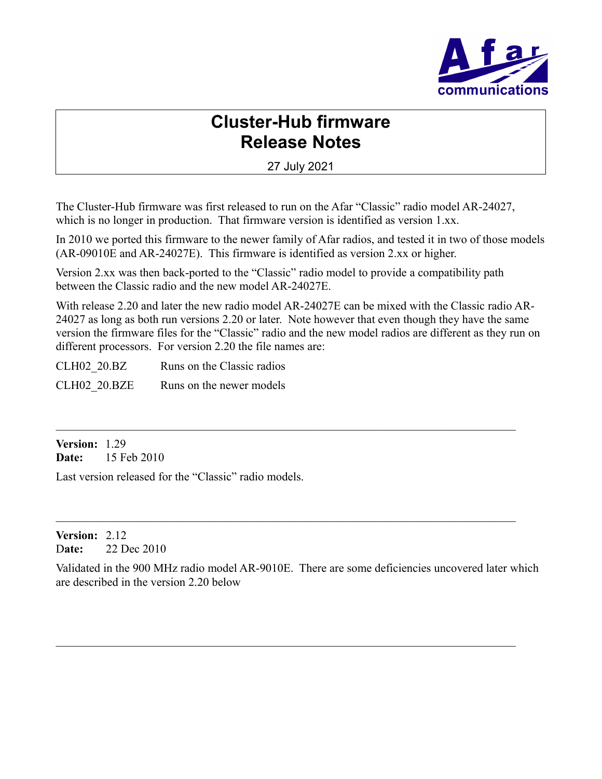

# **Cluster-Hub firmware Release Notes**

27 July 2021

The Cluster-Hub firmware was first released to run on the Afar "Classic" radio model AR-24027, which is no longer in production. That firmware version is identified as version 1.xx.

In 2010 we ported this firmware to the newer family of Afar radios, and tested it in two of those models (AR-09010E and AR-24027E). This firmware is identified as version 2.xx or higher.

Version 2.xx was then back-ported to the "Classic" radio model to provide a compatibility path between the Classic radio and the new model AR-24027E.

With release 2.20 and later the new radio model AR-24027E can be mixed with the Classic radio AR-24027 as long as both run versions 2.20 or later. Note however that even though they have the same version the firmware files for the "Classic" radio and the new model radios are different as they run on different processors. For version 2.20 the file names are:

CLH02 20.BZ Runs on the Classic radios CLH02 20.BZE Runs on the newer models

**Version:** 1.29 **Date:** 15 Feb 2010

Last version released for the "Classic" radio models.

**Version:** 2.12 D**ate:** 22 Dec 2010

Validated in the 900 MHz radio model AR-9010E. There are some deficiencies uncovered later which are described in the version 2.20 below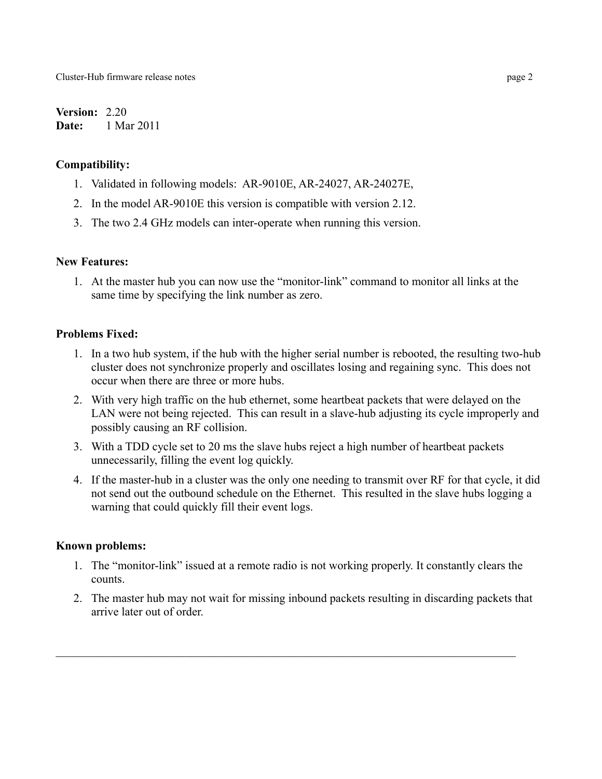**Version:** 2.20 **Date:** 1 Mar 2011

## **Compatibility:**

- 1. Validated in following models: AR-9010E, AR-24027, AR-24027E,
- 2. In the model AR-9010E this version is compatible with version 2.12.
- 3. The two 2.4 GHz models can inter-operate when running this version.

# **New Features:**

1. At the master hub you can now use the "monitor-link" command to monitor all links at the same time by specifying the link number as zero.

# **Problems Fixed:**

- 1. In a two hub system, if the hub with the higher serial number is rebooted, the resulting two-hub cluster does not synchronize properly and oscillates losing and regaining sync. This does not occur when there are three or more hubs.
- 2. With very high traffic on the hub ethernet, some heartbeat packets that were delayed on the LAN were not being rejected. This can result in a slave-hub adjusting its cycle improperly and possibly causing an RF collision.
- 3. With a TDD cycle set to 20 ms the slave hubs reject a high number of heartbeat packets unnecessarily, filling the event log quickly.
- 4. If the master-hub in a cluster was the only one needing to transmit over RF for that cycle, it did not send out the outbound schedule on the Ethernet. This resulted in the slave hubs logging a warning that could quickly fill their event logs.

## **Known problems:**

- 1. The "monitor-link" issued at a remote radio is not working properly. It constantly clears the counts.
- 2. The master hub may not wait for missing inbound packets resulting in discarding packets that arrive later out of order.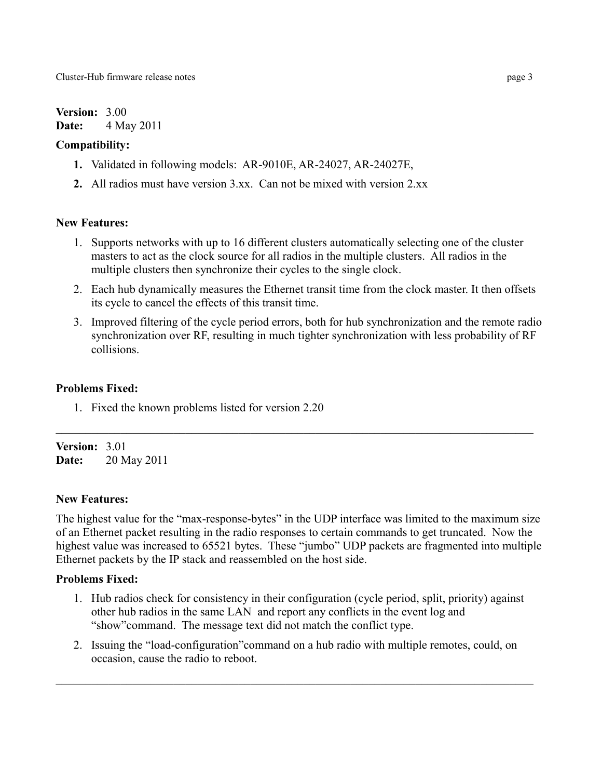**Version:** 3.00 **Date:** 4 May 2011

#### **Compatibility:**

- **1.** Validated in following models: AR-9010E, AR-24027, AR-24027E,
- **2.** All radios must have version 3.xx. Can not be mixed with version 2.xx

## **New Features:**

- 1. Supports networks with up to 16 different clusters automatically selecting one of the cluster masters to act as the clock source for all radios in the multiple clusters. All radios in the multiple clusters then synchronize their cycles to the single clock.
- 2. Each hub dynamically measures the Ethernet transit time from the clock master. It then offsets its cycle to cancel the effects of this transit time.
- 3. Improved filtering of the cycle period errors, both for hub synchronization and the remote radio synchronization over RF, resulting in much tighter synchronization with less probability of RF collisions.

#### **Problems Fixed:**

1. Fixed the known problems listed for version 2.20

**Version:** 3.01 **Date:** 20 May 2011

#### **New Features:**

The highest value for the "max-response-bytes" in the UDP interface was limited to the maximum size of an Ethernet packet resulting in the radio responses to certain commands to get truncated. Now the highest value was increased to 65521 bytes. These "jumbo" UDP packets are fragmented into multiple Ethernet packets by the IP stack and reassembled on the host side.

 $\_$  , and the set of the set of the set of the set of the set of the set of the set of the set of the set of the set of the set of the set of the set of the set of the set of the set of the set of the set of the set of th

## **Problems Fixed:**

- 1. Hub radios check for consistency in their configuration (cycle period, split, priority) against other hub radios in the same LAN and report any conflicts in the event log and "show"command. The message text did not match the conflict type.
- 2. Issuing the "load-configuration"command on a hub radio with multiple remotes, could, on occasion, cause the radio to reboot.

 $\_$  , and the set of the set of the set of the set of the set of the set of the set of the set of the set of the set of the set of the set of the set of the set of the set of the set of the set of the set of the set of th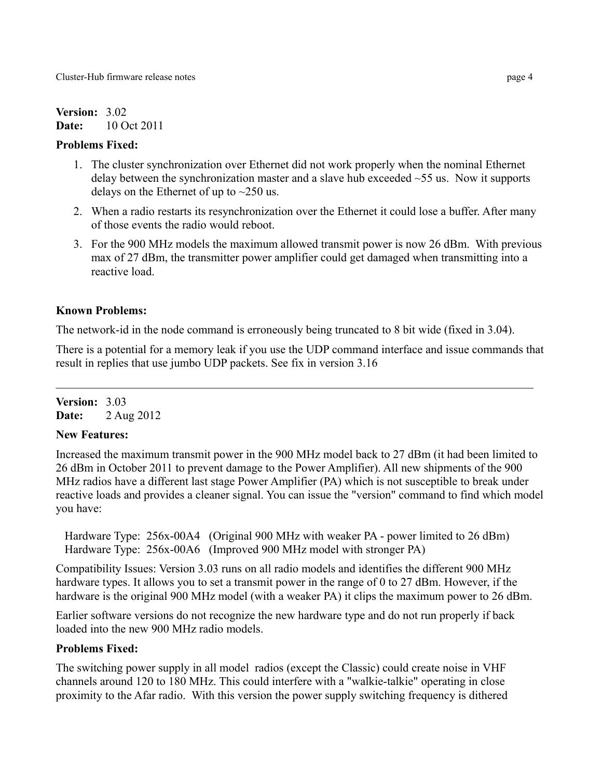# **Version:** 3.02 **Date:** 10 Oct 2011

# **Problems Fixed:**

- 1. The cluster synchronization over Ethernet did not work properly when the nominal Ethernet delay between the synchronization master and a slave hub exceeded  $\sim$ 55 us. Now it supports delays on the Ethernet of up to  $\sim$ 250 us.
- 2. When a radio restarts its resynchronization over the Ethernet it could lose a buffer. After many of those events the radio would reboot.
- 3. For the 900 MHz models the maximum allowed transmit power is now 26 dBm. With previous max of 27 dBm, the transmitter power amplifier could get damaged when transmitting into a reactive load.

# **Known Problems:**

The network-id in the node command is erroneously being truncated to 8 bit wide (fixed in 3.04).

There is a potential for a memory leak if you use the UDP command interface and issue commands that result in replies that use jumbo UDP packets. See fix in version 3.16

# **Version:** 3.03 **Date:** 2 Aug 2012

# **New Features:**

Increased the maximum transmit power in the 900 MHz model back to 27 dBm (it had been limited to 26 dBm in October 2011 to prevent damage to the Power Amplifier). All new shipments of the 900 MHz radios have a different last stage Power Amplifier (PA) which is not susceptible to break under reactive loads and provides a cleaner signal. You can issue the "version" command to find which model you have:

Hardware Type: 256x-00A4 (Original 900 MHz with weaker PA - power limited to 26 dBm) Hardware Type: 256x-00A6 (Improved 900 MHz model with stronger PA)

Compatibility Issues: Version 3.03 runs on all radio models and identifies the different 900 MHz hardware types. It allows you to set a transmit power in the range of 0 to 27 dBm. However, if the hardware is the original 900 MHz model (with a weaker PA) it clips the maximum power to 26 dBm.

Earlier software versions do not recognize the new hardware type and do not run properly if back loaded into the new 900 MHz radio models.

# **Problems Fixed:**

The switching power supply in all model radios (except the Classic) could create noise in VHF channels around 120 to 180 MHz. This could interfere with a "walkie-talkie" operating in close proximity to the Afar radio. With this version the power supply switching frequency is dithered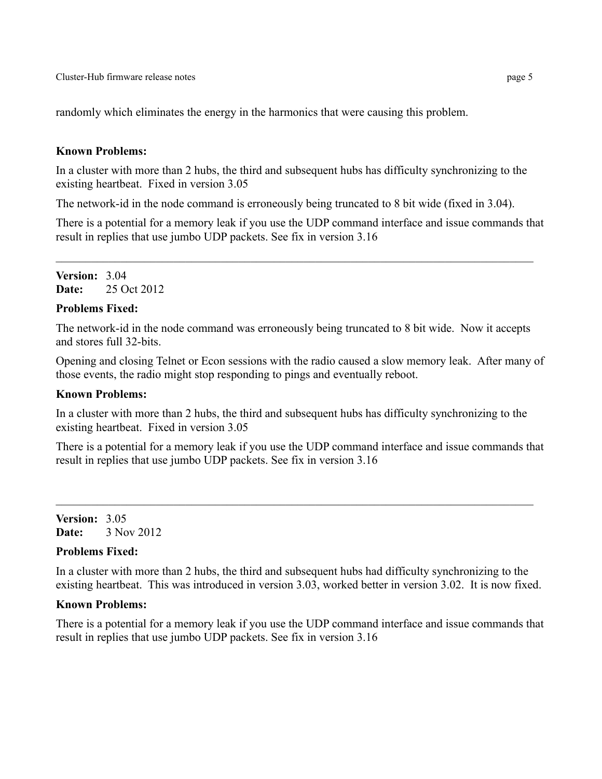randomly which eliminates the energy in the harmonics that were causing this problem.

#### **Known Problems:**

In a cluster with more than 2 hubs, the third and subsequent hubs has difficulty synchronizing to the existing heartbeat. Fixed in version 3.05

The network-id in the node command is erroneously being truncated to 8 bit wide (fixed in 3.04).

There is a potential for a memory leak if you use the UDP command interface and issue commands that result in replies that use jumbo UDP packets. See fix in version 3.16

 $\_$  , and the set of the set of the set of the set of the set of the set of the set of the set of the set of the set of the set of the set of the set of the set of the set of the set of the set of the set of the set of th

**Version:** 3.04 **Date:** 25 Oct 2012

#### **Problems Fixed:**

The network-id in the node command was erroneously being truncated to 8 bit wide. Now it accepts and stores full 32-bits.

Opening and closing Telnet or Econ sessions with the radio caused a slow memory leak. After many of those events, the radio might stop responding to pings and eventually reboot.

#### **Known Problems:**

In a cluster with more than 2 hubs, the third and subsequent hubs has difficulty synchronizing to the existing heartbeat. Fixed in version 3.05

There is a potential for a memory leak if you use the UDP command interface and issue commands that result in replies that use jumbo UDP packets. See fix in version 3.16

**Version:** 3.05 **Date:** 3 Nov 2012

#### **Problems Fixed:**

In a cluster with more than 2 hubs, the third and subsequent hubs had difficulty synchronizing to the existing heartbeat. This was introduced in version 3.03, worked better in version 3.02. It is now fixed.

#### **Known Problems:**

There is a potential for a memory leak if you use the UDP command interface and issue commands that result in replies that use jumbo UDP packets. See fix in version 3.16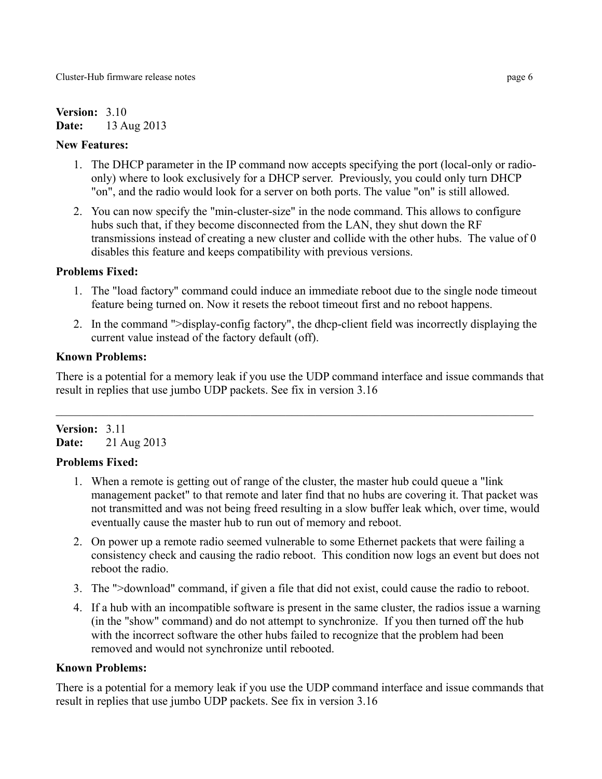# **Version:** 3.10 **Date:** 13 Aug 2013

## **New Features:**

- 1. The DHCP parameter in the IP command now accepts specifying the port (local-only or radioonly) where to look exclusively for a DHCP server. Previously, you could only turn DHCP "on", and the radio would look for a server on both ports. The value "on" is still allowed.
- 2. You can now specify the "min-cluster-size" in the node command. This allows to configure hubs such that, if they become disconnected from the LAN, they shut down the RF transmissions instead of creating a new cluster and collide with the other hubs. The value of 0 disables this feature and keeps compatibility with previous versions.

# **Problems Fixed:**

- 1. The "load factory" command could induce an immediate reboot due to the single node timeout feature being turned on. Now it resets the reboot timeout first and no reboot happens.
- 2. In the command ">display-config factory", the dhcp-client field was incorrectly displaying the current value instead of the factory default (off).

# **Known Problems:**

There is a potential for a memory leak if you use the UDP command interface and issue commands that result in replies that use jumbo UDP packets. See fix in version 3.16

 $\_$  , and the set of the set of the set of the set of the set of the set of the set of the set of the set of the set of the set of the set of the set of the set of the set of the set of the set of the set of the set of th

# **Version:** 3.11 **Date:** 21 Aug 2013

# **Problems Fixed:**

- 1. When a remote is getting out of range of the cluster, the master hub could queue a "link management packet" to that remote and later find that no hubs are covering it. That packet was not transmitted and was not being freed resulting in a slow buffer leak which, over time, would eventually cause the master hub to run out of memory and reboot.
- 2. On power up a remote radio seemed vulnerable to some Ethernet packets that were failing a consistency check and causing the radio reboot. This condition now logs an event but does not reboot the radio.
- 3. The ">download" command, if given a file that did not exist, could cause the radio to reboot.
- 4. If a hub with an incompatible software is present in the same cluster, the radios issue a warning (in the "show" command) and do not attempt to synchronize. If you then turned off the hub with the incorrect software the other hubs failed to recognize that the problem had been removed and would not synchronize until rebooted.

## **Known Problems:**

There is a potential for a memory leak if you use the UDP command interface and issue commands that result in replies that use jumbo UDP packets. See fix in version 3.16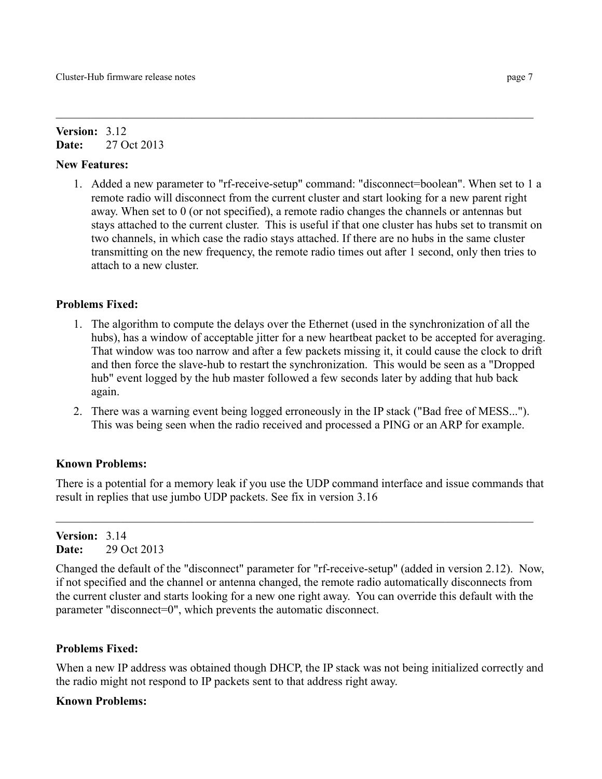#### **Version:** 3.12 **Date:** 27 Oct 2013

#### **New Features:**

1. Added a new parameter to "rf-receive-setup" command: "disconnect=boolean". When set to 1 a remote radio will disconnect from the current cluster and start looking for a new parent right away. When set to 0 (or not specified), a remote radio changes the channels or antennas but stays attached to the current cluster. This is useful if that one cluster has hubs set to transmit on two channels, in which case the radio stays attached. If there are no hubs in the same cluster transmitting on the new frequency, the remote radio times out after 1 second, only then tries to attach to a new cluster.

## **Problems Fixed:**

- 1. The algorithm to compute the delays over the Ethernet (used in the synchronization of all the hubs), has a window of acceptable jitter for a new heartbeat packet to be accepted for averaging. That window was too narrow and after a few packets missing it, it could cause the clock to drift and then force the slave-hub to restart the synchronization. This would be seen as a "Dropped hub" event logged by the hub master followed a few seconds later by adding that hub back again.
- 2. There was a warning event being logged erroneously in the IP stack ("Bad free of MESS..."). This was being seen when the radio received and processed a PING or an ARP for example.

## **Known Problems:**

There is a potential for a memory leak if you use the UDP command interface and issue commands that result in replies that use jumbo UDP packets. See fix in version 3.16

**Version:** 3.14 **Date:** 29 Oct 2013

Changed the default of the "disconnect" parameter for "rf-receive-setup" (added in version 2.12). Now, if not specified and the channel or antenna changed, the remote radio automatically disconnects from the current cluster and starts looking for a new one right away. You can override this default with the parameter "disconnect=0", which prevents the automatic disconnect.

#### **Problems Fixed:**

When a new IP address was obtained though DHCP, the IP stack was not being initialized correctly and the radio might not respond to IP packets sent to that address right away.

#### **Known Problems:**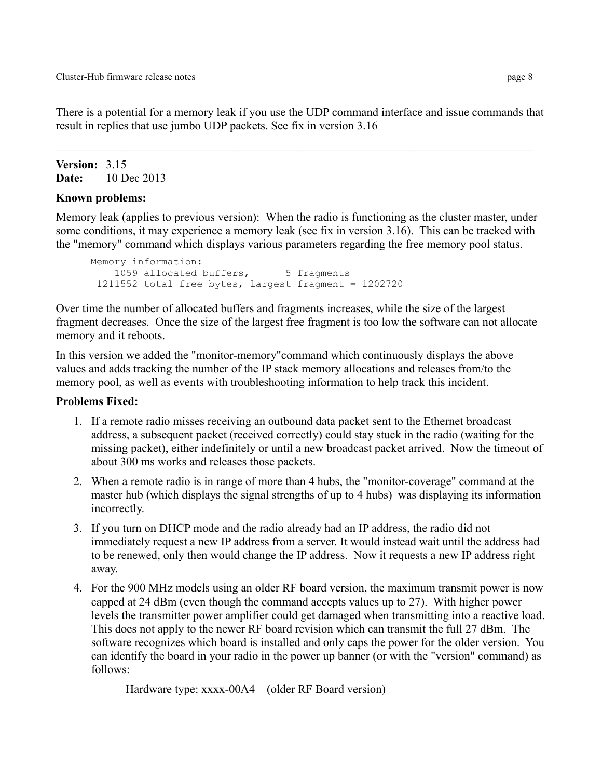There is a potential for a memory leak if you use the UDP command interface and issue commands that result in replies that use jumbo UDP packets. See fix in version 3.16

**Version:** 3.15 **Date:** 10 Dec 2013

## **Known problems:**

Memory leak (applies to previous version): When the radio is functioning as the cluster master, under some conditions, it may experience a memory leak (see fix in version 3.16). This can be tracked with the "memory" command which displays various parameters regarding the free memory pool status.

```
Memory information:
   1059 allocated buffers, 5 fragments
1211552 total free bytes, largest fragment = 1202720
```
Over time the number of allocated buffers and fragments increases, while the size of the largest fragment decreases. Once the size of the largest free fragment is too low the software can not allocate memory and it reboots.

In this version we added the "monitor-memory"command which continuously displays the above values and adds tracking the number of the IP stack memory allocations and releases from/to the memory pool, as well as events with troubleshooting information to help track this incident.

## **Problems Fixed:**

- 1. If a remote radio misses receiving an outbound data packet sent to the Ethernet broadcast address, a subsequent packet (received correctly) could stay stuck in the radio (waiting for the missing packet), either indefinitely or until a new broadcast packet arrived. Now the timeout of about 300 ms works and releases those packets.
- 2. When a remote radio is in range of more than 4 hubs, the "monitor-coverage" command at the master hub (which displays the signal strengths of up to 4 hubs) was displaying its information incorrectly.
- 3. If you turn on DHCP mode and the radio already had an IP address, the radio did not immediately request a new IP address from a server. It would instead wait until the address had to be renewed, only then would change the IP address. Now it requests a new IP address right away.
- 4. For the 900 MHz models using an older RF board version, the maximum transmit power is now capped at 24 dBm (even though the command accepts values up to 27). With higher power levels the transmitter power amplifier could get damaged when transmitting into a reactive load. This does not apply to the newer RF board revision which can transmit the full 27 dBm. The software recognizes which board is installed and only caps the power for the older version. You can identify the board in your radio in the power up banner (or with the "version" command) as follows:

Hardware type: xxxx-00A4 (older RF Board version)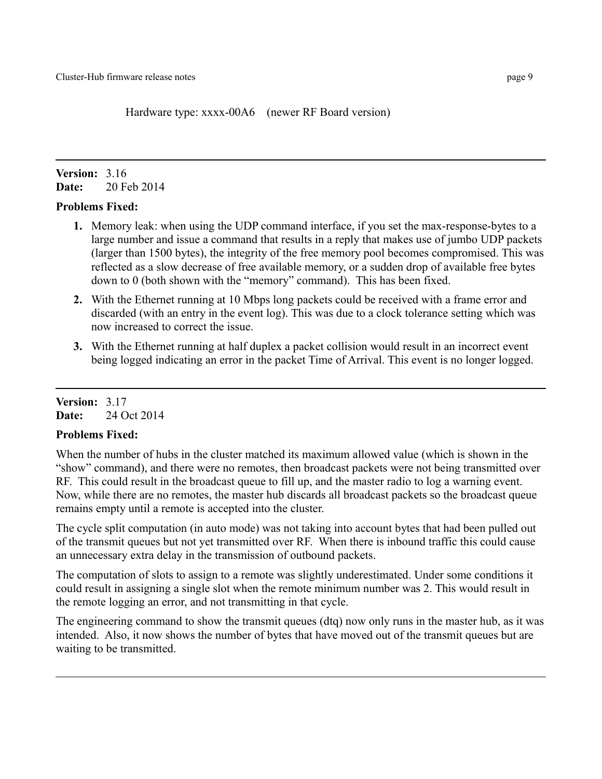Hardware type: xxxx-00A6 (newer RF Board version)

# **Version:** 3.16 **Date:** 20 Feb 2014

## **Problems Fixed:**

- **1.** Memory leak: when using the UDP command interface, if you set the max-response-bytes to a large number and issue a command that results in a reply that makes use of jumbo UDP packets (larger than 1500 bytes), the integrity of the free memory pool becomes compromised. This was reflected as a slow decrease of free available memory, or a sudden drop of available free bytes down to 0 (both shown with the "memory" command). This has been fixed.
- **2.** With the Ethernet running at 10 Mbps long packets could be received with a frame error and discarded (with an entry in the event log). This was due to a clock tolerance setting which was now increased to correct the issue.
- **3.** With the Ethernet running at half duplex a packet collision would result in an incorrect event being logged indicating an error in the packet Time of Arrival. This event is no longer logged.

## **Version:** 3.17 **Date:** 24 Oct 2014

## **Problems Fixed:**

When the number of hubs in the cluster matched its maximum allowed value (which is shown in the "show" command), and there were no remotes, then broadcast packets were not being transmitted over RF. This could result in the broadcast queue to fill up, and the master radio to log a warning event. Now, while there are no remotes, the master hub discards all broadcast packets so the broadcast queue remains empty until a remote is accepted into the cluster.

The cycle split computation (in auto mode) was not taking into account bytes that had been pulled out of the transmit queues but not yet transmitted over RF. When there is inbound traffic this could cause an unnecessary extra delay in the transmission of outbound packets.

The computation of slots to assign to a remote was slightly underestimated. Under some conditions it could result in assigning a single slot when the remote minimum number was 2. This would result in the remote logging an error, and not transmitting in that cycle.

The engineering command to show the transmit queues (dtq) now only runs in the master hub, as it was intended. Also, it now shows the number of bytes that have moved out of the transmit queues but are waiting to be transmitted.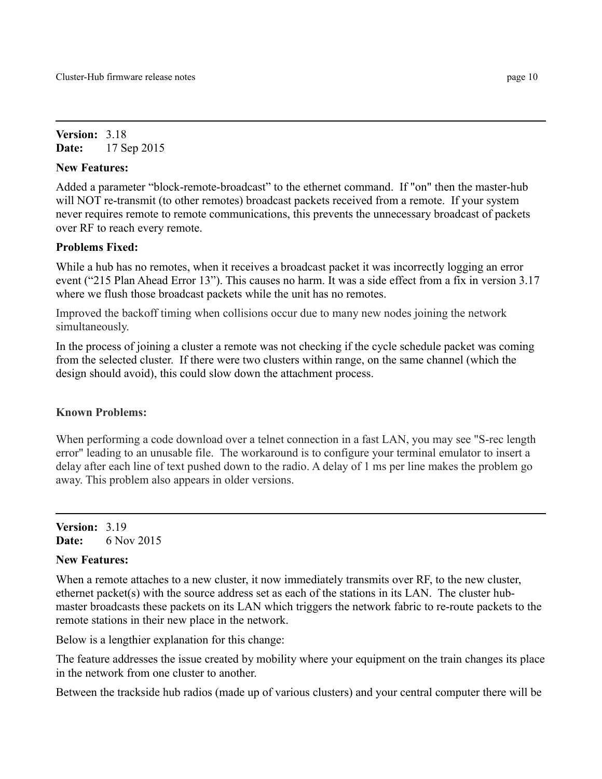**Version:** 3.18 **Date:** 17 Sep 2015

#### **New Features:**

Added a parameter "block-remote-broadcast" to the ethernet command. If "on" then the master-hub will NOT re-transmit (to other remotes) broadcast packets received from a remote. If your system never requires remote to remote communications, this prevents the unnecessary broadcast of packets over RF to reach every remote.

## **Problems Fixed:**

While a hub has no remotes, when it receives a broadcast packet it was incorrectly logging an error event ("215 Plan Ahead Error 13"). This causes no harm. It was a side effect from a fix in version 3.17 where we flush those broadcast packets while the unit has no remotes.

Improved the backoff timing when collisions occur due to many new nodes joining the network simultaneously.

In the process of joining a cluster a remote was not checking if the cycle schedule packet was coming from the selected cluster. If there were two clusters within range, on the same channel (which the design should avoid), this could slow down the attachment process.

#### **Known Problems:**

When performing a code download over a telnet connection in a fast LAN, you may see "S-rec length" error" leading to an unusable file. The workaround is to configure your terminal emulator to insert a delay after each line of text pushed down to the radio. A delay of 1 ms per line makes the problem go away. This problem also appears in older versions.

**Version:** 3.19 **Date:** 6 Nov 2015

## **New Features:**

When a remote attaches to a new cluster, it now immediately transmits over RF, to the new cluster, ethernet packet(s) with the source address set as each of the stations in its LAN. The cluster hubmaster broadcasts these packets on its LAN which triggers the network fabric to re-route packets to the remote stations in their new place in the network.

Below is a lengthier explanation for this change:

The feature addresses the issue created by mobility where your equipment on the train changes its place in the network from one cluster to another.

Between the trackside hub radios (made up of various clusters) and your central computer there will be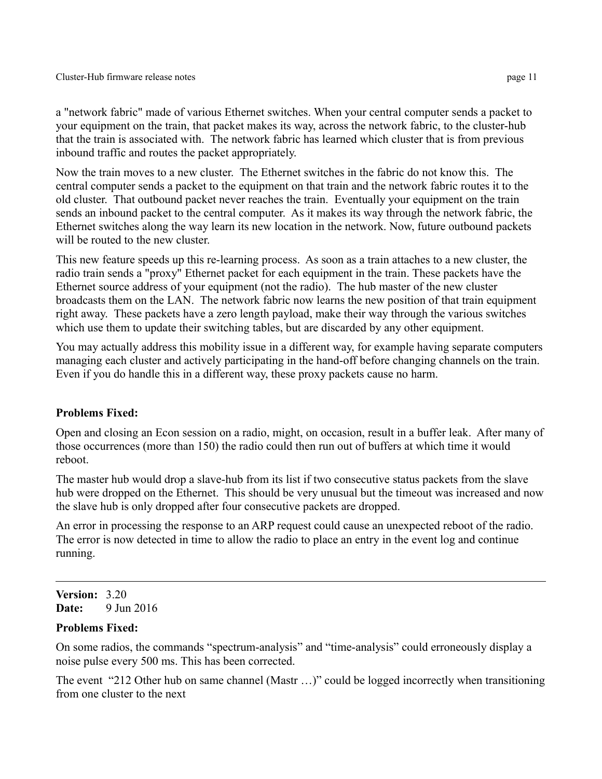a "network fabric" made of various Ethernet switches. When your central computer sends a packet to your equipment on the train, that packet makes its way, across the network fabric, to the cluster-hub that the train is associated with. The network fabric has learned which cluster that is from previous inbound traffic and routes the packet appropriately.

Now the train moves to a new cluster. The Ethernet switches in the fabric do not know this. The central computer sends a packet to the equipment on that train and the network fabric routes it to the old cluster. That outbound packet never reaches the train. Eventually your equipment on the train sends an inbound packet to the central computer. As it makes its way through the network fabric, the Ethernet switches along the way learn its new location in the network. Now, future outbound packets will be routed to the new cluster.

This new feature speeds up this re-learning process. As soon as a train attaches to a new cluster, the radio train sends a "proxy" Ethernet packet for each equipment in the train. These packets have the Ethernet source address of your equipment (not the radio). The hub master of the new cluster broadcasts them on the LAN. The network fabric now learns the new position of that train equipment right away. These packets have a zero length payload, make their way through the various switches which use them to update their switching tables, but are discarded by any other equipment.

You may actually address this mobility issue in a different way, for example having separate computers managing each cluster and actively participating in the hand-off before changing channels on the train. Even if you do handle this in a different way, these proxy packets cause no harm.

#### **Problems Fixed:**

Open and closing an Econ session on a radio, might, on occasion, result in a buffer leak. After many of those occurrences (more than 150) the radio could then run out of buffers at which time it would reboot.

The master hub would drop a slave-hub from its list if two consecutive status packets from the slave hub were dropped on the Ethernet. This should be very unusual but the timeout was increased and now the slave hub is only dropped after four consecutive packets are dropped.

An error in processing the response to an ARP request could cause an unexpected reboot of the radio. The error is now detected in time to allow the radio to place an entry in the event log and continue running.

**Version:** 3.20 **Date:** 9 Jun 2016

#### **Problems Fixed:**

On some radios, the commands "spectrum-analysis" and "time-analysis" could erroneously display a noise pulse every 500 ms. This has been corrected.

The event "212 Other hub on same channel (Mastr …)" could be logged incorrectly when transitioning from one cluster to the next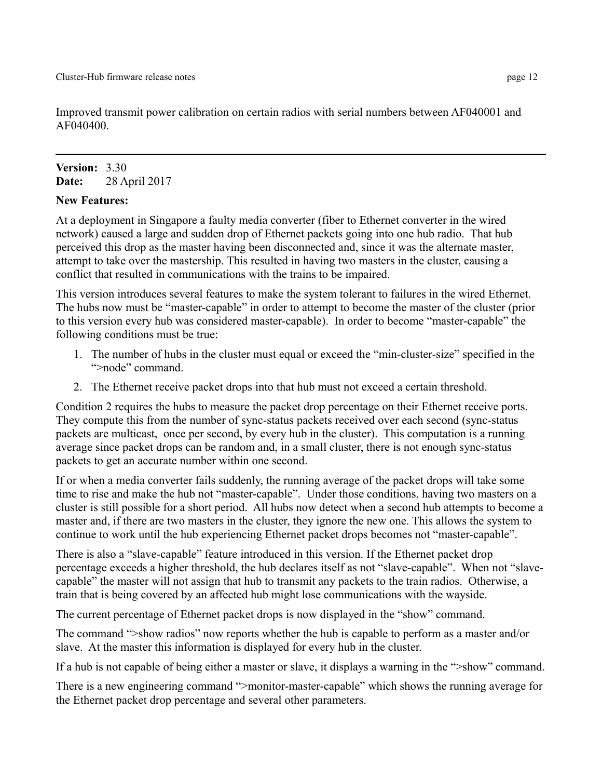Improved transmit power calibration on certain radios with serial numbers between AF040001 and AF040400.

# **Version:** 3.30 **Date:** 28 April 2017

#### **New Features:**

At a deployment in Singapore a faulty media converter (fiber to Ethernet converter in the wired network) caused a large and sudden drop of Ethernet packets going into one hub radio. That hub perceived this drop as the master having been disconnected and, since it was the alternate master, attempt to take over the mastership. This resulted in having two masters in the cluster, causing a conflict that resulted in communications with the trains to be impaired.

This version introduces several features to make the system tolerant to failures in the wired Ethernet. The hubs now must be "master-capable" in order to attempt to become the master of the cluster (prior to this version every hub was considered master-capable). In order to become "master-capable" the following conditions must be true:

- 1. The number of hubs in the cluster must equal or exceed the "min-cluster-size" specified in the ">node" command.
- 2. The Ethernet receive packet drops into that hub must not exceed a certain threshold.

Condition 2 requires the hubs to measure the packet drop percentage on their Ethernet receive ports. They compute this from the number of sync-status packets received over each second (sync-status packets are multicast, once per second, by every hub in the cluster). This computation is a running average since packet drops can be random and, in a small cluster, there is not enough sync-status packets to get an accurate number within one second.

If or when a media converter fails suddenly, the running average of the packet drops will take some time to rise and make the hub not "master-capable". Under those conditions, having two masters on a cluster is still possible for a short period. All hubs now detect when a second hub attempts to become a master and, if there are two masters in the cluster, they ignore the new one. This allows the system to continue to work until the hub experiencing Ethernet packet drops becomes not "master-capable".

There is also a "slave-capable" feature introduced in this version. If the Ethernet packet drop percentage exceeds a higher threshold, the hub declares itself as not "slave-capable". When not "slavecapable" the master will not assign that hub to transmit any packets to the train radios. Otherwise, a train that is being covered by an affected hub might lose communications with the wayside.

The current percentage of Ethernet packet drops is now displayed in the "show" command.

The command ">show radios" now reports whether the hub is capable to perform as a master and/or slave. At the master this information is displayed for every hub in the cluster.

If a hub is not capable of being either a master or slave, it displays a warning in the ">show" command.

There is a new engineering command ">monitor-master-capable" which shows the running average for the Ethernet packet drop percentage and several other parameters.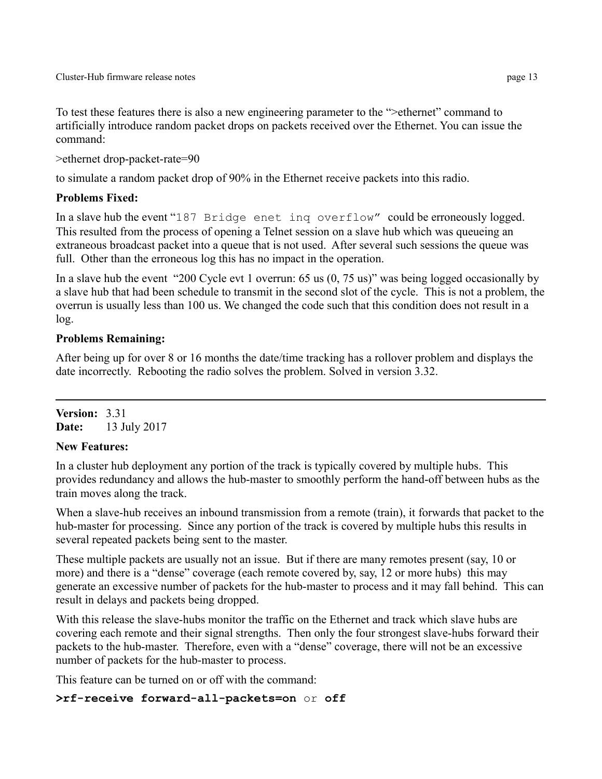To test these features there is also a new engineering parameter to the ">ethernet" command to artificially introduce random packet drops on packets received over the Ethernet. You can issue the command:

```
>ethernet drop-packet-rate=90
```
to simulate a random packet drop of 90% in the Ethernet receive packets into this radio.

# **Problems Fixed:**

In a slave hub the event "187 Bridge enet inq overflow" could be erroneously logged. This resulted from the process of opening a Telnet session on a slave hub which was queueing an extraneous broadcast packet into a queue that is not used. After several such sessions the queue was full. Other than the erroneous log this has no impact in the operation.

In a slave hub the event "200 Cycle evt 1 overrun: 65 us (0, 75 us)" was being logged occasionally by a slave hub that had been schedule to transmit in the second slot of the cycle. This is not a problem, the overrun is usually less than 100 us. We changed the code such that this condition does not result in a log.

# **Problems Remaining:**

After being up for over 8 or 16 months the date/time tracking has a rollover problem and displays the date incorrectly. Rebooting the radio solves the problem. Solved in version 3.32.

**Version:** 3.31 **Date:** 13 July 2017

# **New Features:**

In a cluster hub deployment any portion of the track is typically covered by multiple hubs. This provides redundancy and allows the hub-master to smoothly perform the hand-off between hubs as the train moves along the track.

When a slave-hub receives an inbound transmission from a remote (train), it forwards that packet to the hub-master for processing. Since any portion of the track is covered by multiple hubs this results in several repeated packets being sent to the master.

These multiple packets are usually not an issue. But if there are many remotes present (say, 10 or more) and there is a "dense" coverage (each remote covered by, say, 12 or more hubs) this may generate an excessive number of packets for the hub-master to process and it may fall behind. This can result in delays and packets being dropped.

With this release the slave-hubs monitor the traffic on the Ethernet and track which slave hubs are covering each remote and their signal strengths. Then only the four strongest slave-hubs forward their packets to the hub-master. Therefore, even with a "dense" coverage, there will not be an excessive number of packets for the hub-master to process.

This feature can be turned on or off with the command:

# **>rf-receive forward-all-packets=on** or **off**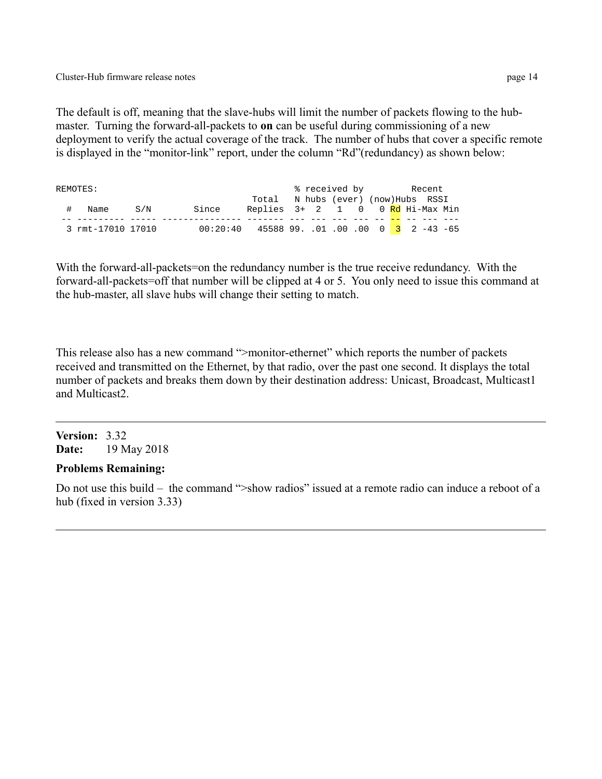The default is off, meaning that the slave-hubs will limit the number of packets flowing to the hubmaster. Turning the forward-all-packets to **on** can be useful during commissioning of a new deployment to verify the actual coverage of the track. The number of hubs that cover a specific remote is displayed in the "monitor-link" report, under the column "Rd"(redundancy) as shown below:

| REMOTES: |                   |     |                                                |                                     | % received by |  |  |  | Recent |  |  |
|----------|-------------------|-----|------------------------------------------------|-------------------------------------|---------------|--|--|--|--------|--|--|
|          |                   |     |                                                | Total N hubs (ever) (now) Hubs RSSI |               |  |  |  |        |  |  |
|          | Name              | S/N | Since                                          | Replies 3+ 2 1 0 0 Rd Hi-Max Min    |               |  |  |  |        |  |  |
|          |                   |     |                                                |                                     |               |  |  |  |        |  |  |
|          | 3 rmt-17010 17010 |     | $00:20:40$ 45588 99. .01 .00 .00 0 3 2 -43 -65 |                                     |               |  |  |  |        |  |  |

With the forward-all-packets=on the redundancy number is the true receive redundancy. With the forward-all-packets=off that number will be clipped at 4 or 5. You only need to issue this command at the hub-master, all slave hubs will change their setting to match.

This release also has a new command ">monitor-ethernet" which reports the number of packets received and transmitted on the Ethernet, by that radio, over the past one second. It displays the total number of packets and breaks them down by their destination address: Unicast, Broadcast, Multicast1 and Multicast2.

## **Version:** 3.32 **Date:** 19 May 2018

## **Problems Remaining:**

Do not use this build – the command ">show radios" issued at a remote radio can induce a reboot of a hub (fixed in version 3.33)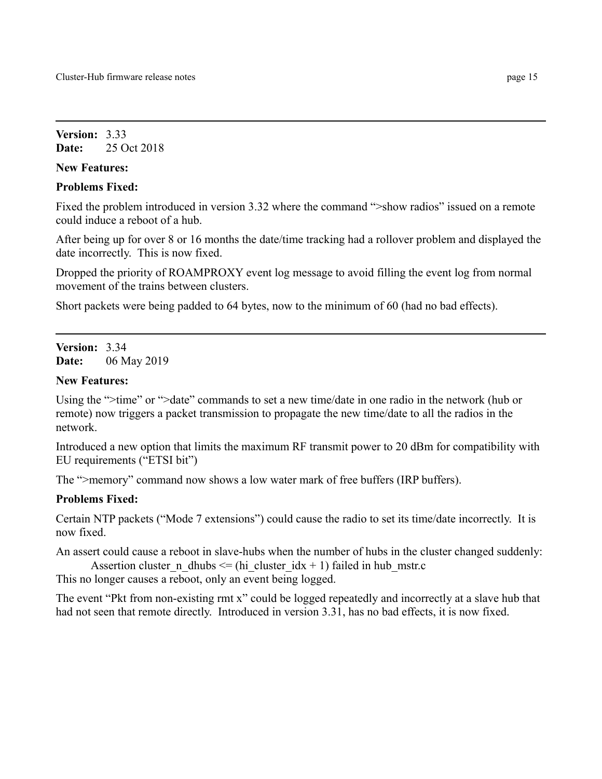**Version:** 3.33 **Date:** 25 Oct 2018

#### **New Features:**

## **Problems Fixed:**

Fixed the problem introduced in version 3.32 where the command ">show radios" issued on a remote could induce a reboot of a hub.

After being up for over 8 or 16 months the date/time tracking had a rollover problem and displayed the date incorrectly. This is now fixed.

Dropped the priority of ROAMPROXY event log message to avoid filling the event log from normal movement of the trains between clusters.

Short packets were being padded to 64 bytes, now to the minimum of 60 (had no bad effects).

**Version:** 3.34 **Date:** 06 May 2019

## **New Features:**

Using the ">time" or ">date" commands to set a new time/date in one radio in the network (hub or remote) now triggers a packet transmission to propagate the new time/date to all the radios in the network.

Introduced a new option that limits the maximum RF transmit power to 20 dBm for compatibility with EU requirements ("ETSI bit")

The ">memory" command now shows a low water mark of free buffers (IRP buffers).

## **Problems Fixed:**

Certain NTP packets ("Mode 7 extensions") could cause the radio to set its time/date incorrectly. It is now fixed.

An assert could cause a reboot in slave-hubs when the number of hubs in the cluster changed suddenly: Assertion cluster n dhubs  $\leq$  (hi cluster idx + 1) failed in hub mstr.c

This no longer causes a reboot, only an event being logged.

The event "Pkt from non-existing rmt x" could be logged repeatedly and incorrectly at a slave hub that had not seen that remote directly. Introduced in version 3.31, has no bad effects, it is now fixed.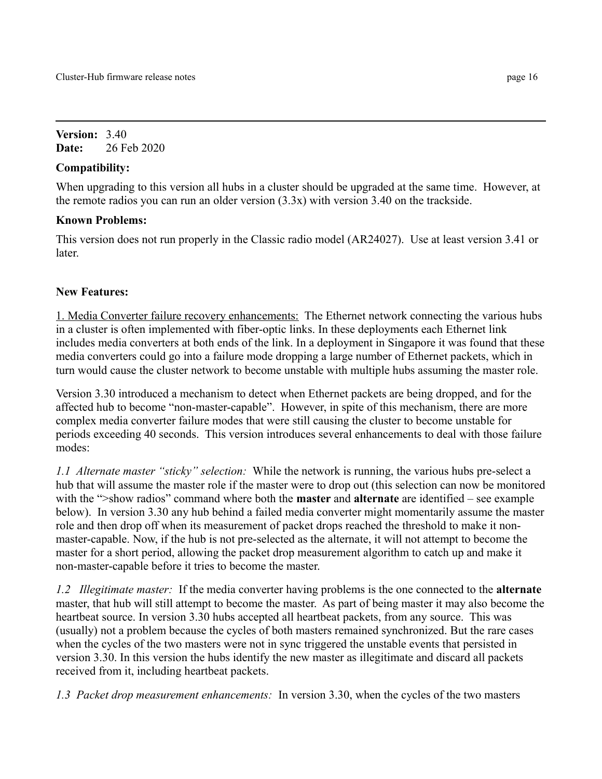**Version:** 3.40 **Date:** 26 Feb 2020

# **Compatibility:**

When upgrading to this version all hubs in a cluster should be upgraded at the same time. However, at the remote radios you can run an older version (3.3x) with version 3.40 on the trackside.

# **Known Problems:**

This version does not run properly in the Classic radio model (AR24027). Use at least version 3.41 or later.

# **New Features:**

1. Media Converter failure recovery enhancements: The Ethernet network connecting the various hubs in a cluster is often implemented with fiber-optic links. In these deployments each Ethernet link includes media converters at both ends of the link. In a deployment in Singapore it was found that these media converters could go into a failure mode dropping a large number of Ethernet packets, which in turn would cause the cluster network to become unstable with multiple hubs assuming the master role.

Version 3.30 introduced a mechanism to detect when Ethernet packets are being dropped, and for the affected hub to become "non-master-capable". However, in spite of this mechanism, there are more complex media converter failure modes that were still causing the cluster to become unstable for periods exceeding 40 seconds. This version introduces several enhancements to deal with those failure modes:

*1.1 Alternate master "sticky" selection:* While the network is running, the various hubs pre-select a hub that will assume the master role if the master were to drop out (this selection can now be monitored with the ">show radios" command where both the **master** and **alternate** are identified – see example below). In version 3.30 any hub behind a failed media converter might momentarily assume the master role and then drop off when its measurement of packet drops reached the threshold to make it nonmaster-capable. Now, if the hub is not pre-selected as the alternate, it will not attempt to become the master for a short period, allowing the packet drop measurement algorithm to catch up and make it non-master-capable before it tries to become the master.

*1.2 Illegitimate master:* If the media converter having problems is the one connected to the **alternate** master, that hub will still attempt to become the master. As part of being master it may also become the heartbeat source. In version 3.30 hubs accepted all heartbeat packets, from any source. This was (usually) not a problem because the cycles of both masters remained synchronized. But the rare cases when the cycles of the two masters were not in sync triggered the unstable events that persisted in version 3.30. In this version the hubs identify the new master as illegitimate and discard all packets received from it, including heartbeat packets.

*1.3 Packet drop measurement enhancements:* In version 3.30, when the cycles of the two masters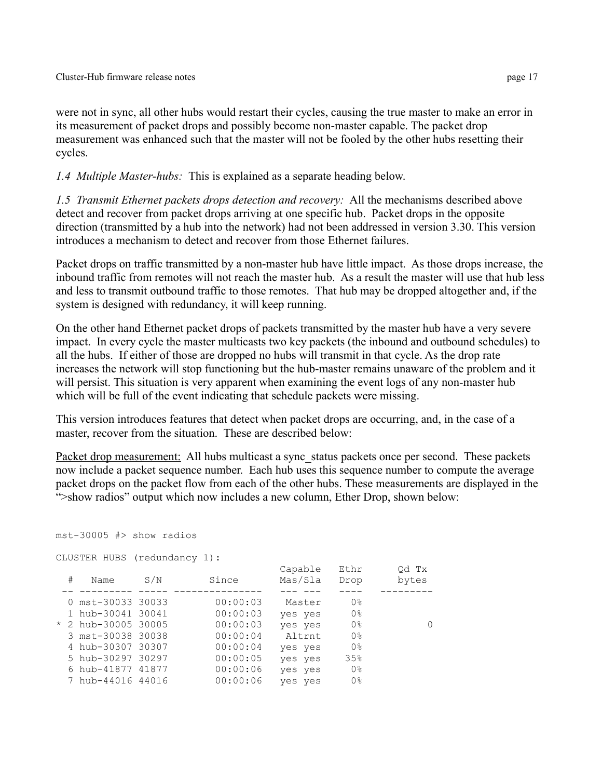were not in sync, all other hubs would restart their cycles, causing the true master to make an error in its measurement of packet drops and possibly become non-master capable. The packet drop measurement was enhanced such that the master will not be fooled by the other hubs resetting their cycles.

*1.4 Multiple Master-hubs:* This is explained as a separate heading below.

*1.5 Transmit Ethernet packets drops detection and recovery:* All the mechanisms described above detect and recover from packet drops arriving at one specific hub. Packet drops in the opposite direction (transmitted by a hub into the network) had not been addressed in version 3.30. This version introduces a mechanism to detect and recover from those Ethernet failures.

Packet drops on traffic transmitted by a non-master hub have little impact. As those drops increase, the inbound traffic from remotes will not reach the master hub. As a result the master will use that hub less and less to transmit outbound traffic to those remotes. That hub may be dropped altogether and, if the system is designed with redundancy, it will keep running.

On the other hand Ethernet packet drops of packets transmitted by the master hub have a very severe impact. In every cycle the master multicasts two key packets (the inbound and outbound schedules) to all the hubs. If either of those are dropped no hubs will transmit in that cycle. As the drop rate increases the network will stop functioning but the hub-master remains unaware of the problem and it will persist. This situation is very apparent when examining the event logs of any non-master hub which will be full of the event indicating that schedule packets were missing.

This version introduces features that detect when packet drops are occurring, and, in the case of a master, recover from the situation. These are described below:

Packet drop measurement: All hubs multicast a sync status packets once per second. These packets now include a packet sequence number. Each hub uses this sequence number to compute the average packet drops on the packet flow from each of the other hubs. These measurements are displayed in the ">show radios" output which now includes a new column, Ether Drop, shown below:

```
mst-30005 #> show radios
```

```
CLUSTER HUBS (redundancy 1):
```

| # | Name                | S/N | Since    | Capable<br>Mas/Sla | Ethr<br>Drop   | Od Tx<br>bytes |
|---|---------------------|-----|----------|--------------------|----------------|----------------|
|   | 0 mst-30033 30033   |     | 00:00:03 | Master             | 0 <sup>°</sup> |                |
|   | 1 hub-30041 30041   |     | 00:00:03 | yes yes            | 0 <sup>°</sup> |                |
|   | * 2 hub-30005 30005 |     | 00:00:03 | yes yes            | 0 <sup>°</sup> |                |
|   | 3 mst-30038 30038   |     | 00:00:04 | Altrnt             | 0 <sup>°</sup> |                |
|   | 4 hub-30307 30307   |     | 00:00:04 | yes yes            | 0 <sup>°</sup> |                |
|   | 5 hub-30297 30297   |     | 00:00:05 | yes yes            | 35%            |                |
|   | 6 hub-41877 41877   |     | 00:00:06 | yes yes            | 0 <sup>°</sup> |                |
|   | 7 hub-44016 44016   |     | 00:00:06 | yes yes            | 0 <sup>°</sup> |                |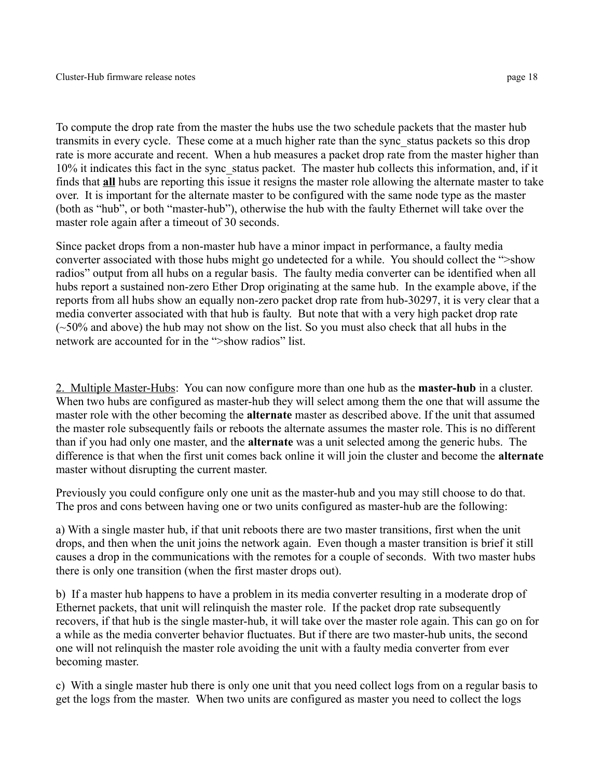To compute the drop rate from the master the hubs use the two schedule packets that the master hub transmits in every cycle. These come at a much higher rate than the sync\_status packets so this drop rate is more accurate and recent. When a hub measures a packet drop rate from the master higher than 10% it indicates this fact in the sync\_status packet. The master hub collects this information, and, if it finds that **all** hubs are reporting this issue it resigns the master role allowing the alternate master to take over. It is important for the alternate master to be configured with the same node type as the master (both as "hub", or both "master-hub"), otherwise the hub with the faulty Ethernet will take over the master role again after a timeout of 30 seconds.

Since packet drops from a non-master hub have a minor impact in performance, a faulty media converter associated with those hubs might go undetected for a while. You should collect the ">show radios" output from all hubs on a regular basis. The faulty media converter can be identified when all hubs report a sustained non-zero Ether Drop originating at the same hub. In the example above, if the reports from all hubs show an equally non-zero packet drop rate from hub-30297, it is very clear that a media converter associated with that hub is faulty. But note that with a very high packet drop rate  $(\sim 50\%$  and above) the hub may not show on the list. So you must also check that all hubs in the network are accounted for in the ">show radios" list.

2. Multiple Master-Hubs: You can now configure more than one hub as the **master-hub** in a cluster. When two hubs are configured as master-hub they will select among them the one that will assume the master role with the other becoming the **alternate** master as described above. If the unit that assumed the master role subsequently fails or reboots the alternate assumes the master role. This is no different than if you had only one master, and the **alternate** was a unit selected among the generic hubs. The difference is that when the first unit comes back online it will join the cluster and become the **alternate** master without disrupting the current master.

Previously you could configure only one unit as the master-hub and you may still choose to do that. The pros and cons between having one or two units configured as master-hub are the following:

a) With a single master hub, if that unit reboots there are two master transitions, first when the unit drops, and then when the unit joins the network again. Even though a master transition is brief it still causes a drop in the communications with the remotes for a couple of seconds. With two master hubs there is only one transition (when the first master drops out).

b) If a master hub happens to have a problem in its media converter resulting in a moderate drop of Ethernet packets, that unit will relinquish the master role. If the packet drop rate subsequently recovers, if that hub is the single master-hub, it will take over the master role again. This can go on for a while as the media converter behavior fluctuates. But if there are two master-hub units, the second one will not relinquish the master role avoiding the unit with a faulty media converter from ever becoming master.

c) With a single master hub there is only one unit that you need collect logs from on a regular basis to get the logs from the master. When two units are configured as master you need to collect the logs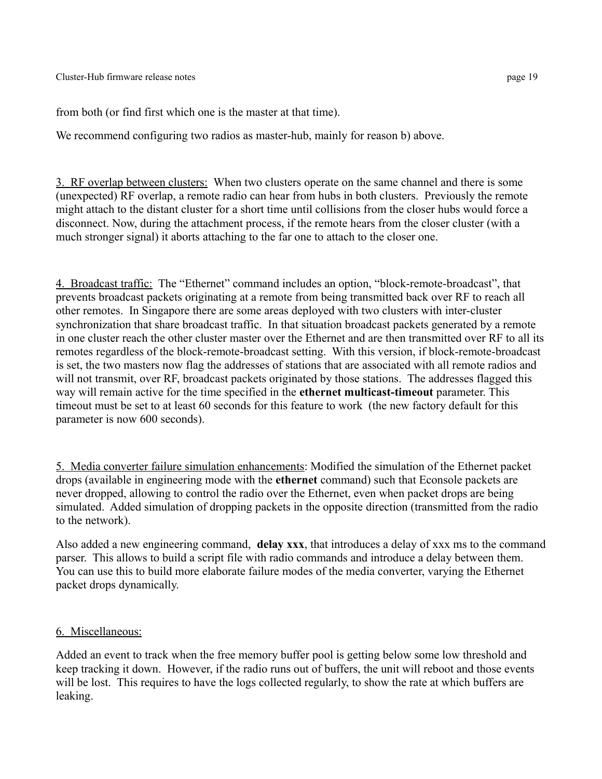from both (or find first which one is the master at that time).

We recommend configuring two radios as master-hub, mainly for reason b) above.

3. RF overlap between clusters: When two clusters operate on the same channel and there is some (unexpected) RF overlap, a remote radio can hear from hubs in both clusters. Previously the remote might attach to the distant cluster for a short time until collisions from the closer hubs would force a disconnect. Now, during the attachment process, if the remote hears from the closer cluster (with a much stronger signal) it aborts attaching to the far one to attach to the closer one.

4. Broadcast traffic: The "Ethernet" command includes an option, "block-remote-broadcast", that prevents broadcast packets originating at a remote from being transmitted back over RF to reach all other remotes. In Singapore there are some areas deployed with two clusters with inter-cluster synchronization that share broadcast traffic. In that situation broadcast packets generated by a remote in one cluster reach the other cluster master over the Ethernet and are then transmitted over RF to all its remotes regardless of the block-remote-broadcast setting. With this version, if block-remote-broadcast is set, the two masters now flag the addresses of stations that are associated with all remote radios and will not transmit, over RF, broadcast packets originated by those stations. The addresses flagged this way will remain active for the time specified in the **ethernet multicast-timeout** parameter. This timeout must be set to at least 60 seconds for this feature to work (the new factory default for this parameter is now 600 seconds).

5. Media converter failure simulation enhancements: Modified the simulation of the Ethernet packet drops (available in engineering mode with the **ethernet** command) such that Econsole packets are never dropped, allowing to control the radio over the Ethernet, even when packet drops are being simulated. Added simulation of dropping packets in the opposite direction (transmitted from the radio to the network).

Also added a new engineering command, **delay xxx**, that introduces a delay of xxx ms to the command parser. This allows to build a script file with radio commands and introduce a delay between them. You can use this to build more elaborate failure modes of the media converter, varying the Ethernet packet drops dynamically.

# 6. Miscellaneous:

Added an event to track when the free memory buffer pool is getting below some low threshold and keep tracking it down. However, if the radio runs out of buffers, the unit will reboot and those events will be lost. This requires to have the logs collected regularly, to show the rate at which buffers are leaking.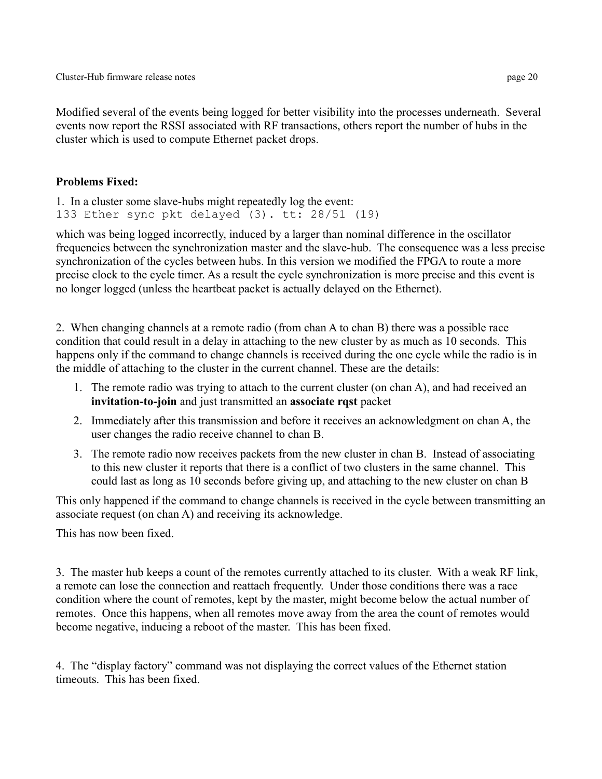Modified several of the events being logged for better visibility into the processes underneath. Several events now report the RSSI associated with RF transactions, others report the number of hubs in the cluster which is used to compute Ethernet packet drops.

## **Problems Fixed:**

```
1. In a cluster some slave-hubs might repeatedly log the event:
133 Ether sync pkt delayed (3). tt: 28/51 (19)
```
which was being logged incorrectly, induced by a larger than nominal difference in the oscillator frequencies between the synchronization master and the slave-hub. The consequence was a less precise synchronization of the cycles between hubs. In this version we modified the FPGA to route a more precise clock to the cycle timer. As a result the cycle synchronization is more precise and this event is no longer logged (unless the heartbeat packet is actually delayed on the Ethernet).

2. When changing channels at a remote radio (from chan A to chan B) there was a possible race condition that could result in a delay in attaching to the new cluster by as much as 10 seconds. This happens only if the command to change channels is received during the one cycle while the radio is in the middle of attaching to the cluster in the current channel. These are the details:

- 1. The remote radio was trying to attach to the current cluster (on chan A), and had received an **invitation-to-join** and just transmitted an **associate rqst** packet
- 2. Immediately after this transmission and before it receives an acknowledgment on chan A, the user changes the radio receive channel to chan B.
- 3. The remote radio now receives packets from the new cluster in chan B. Instead of associating to this new cluster it reports that there is a conflict of two clusters in the same channel. This could last as long as 10 seconds before giving up, and attaching to the new cluster on chan B

This only happened if the command to change channels is received in the cycle between transmitting an associate request (on chan A) and receiving its acknowledge.

This has now been fixed.

3. The master hub keeps a count of the remotes currently attached to its cluster. With a weak RF link, a remote can lose the connection and reattach frequently. Under those conditions there was a race condition where the count of remotes, kept by the master, might become below the actual number of remotes. Once this happens, when all remotes move away from the area the count of remotes would become negative, inducing a reboot of the master. This has been fixed.

4. The "display factory" command was not displaying the correct values of the Ethernet station timeouts. This has been fixed.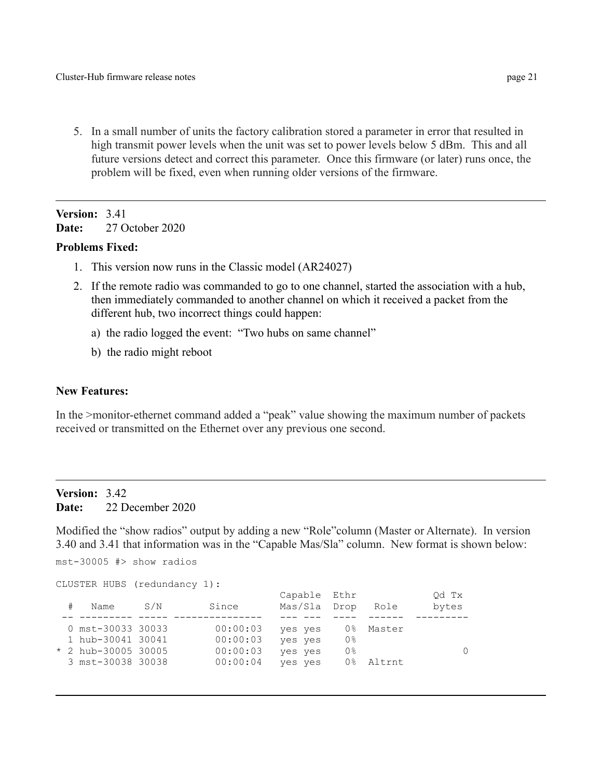5. In a small number of units the factory calibration stored a parameter in error that resulted in high transmit power levels when the unit was set to power levels below 5 dBm. This and all future versions detect and correct this parameter. Once this firmware (or later) runs once, the problem will be fixed, even when running older versions of the firmware.

# **Version:** 3.41 **Date:** 27 October 2020

#### **Problems Fixed:**

- 1. This version now runs in the Classic model (AR24027)
- 2. If the remote radio was commanded to go to one channel, started the association with a hub, then immediately commanded to another channel on which it received a packet from the different hub, two incorrect things could happen:
	- a) the radio logged the event: "Two hubs on same channel"
	- b) the radio might reboot

#### **New Features:**

In the >monitor-ethernet command added a "peak" value showing the maximum number of packets received or transmitted on the Ethernet over any previous one second.

## **Version:** 3.42 **Date:** 22 December 2020

Modified the "show radios" output by adding a new "Role"column (Master or Alternate). In version 3.40 and 3.41 that information was in the "Capable Mas/Sla" column. New format is shown below:

mst-30005 #> show radios

```
CLUSTER HUBS (redundancy 1):
```

|  | Name                  | S/N | Since    | Capable Ethr<br>Mas/Sla | Drop           | Role   | Od Tx<br>bytes |
|--|-----------------------|-----|----------|-------------------------|----------------|--------|----------------|
|  |                       |     |          |                         |                |        |                |
|  | 0 mst-30033 30033     |     | 00:00:03 | yes yes                 | 0 %            | Master |                |
|  | 1 hub-30041 30041     |     | 00:00:03 | yes yes                 | 0응             |        |                |
|  | $*$ 2 hub-30005 30005 |     | 00:00:03 | yes yes                 | 0 <sup>°</sup> |        |                |
|  | 3 mst-30038 30038     |     | 00:00:04 | yes yes                 | ∩ %            | Altrnt |                |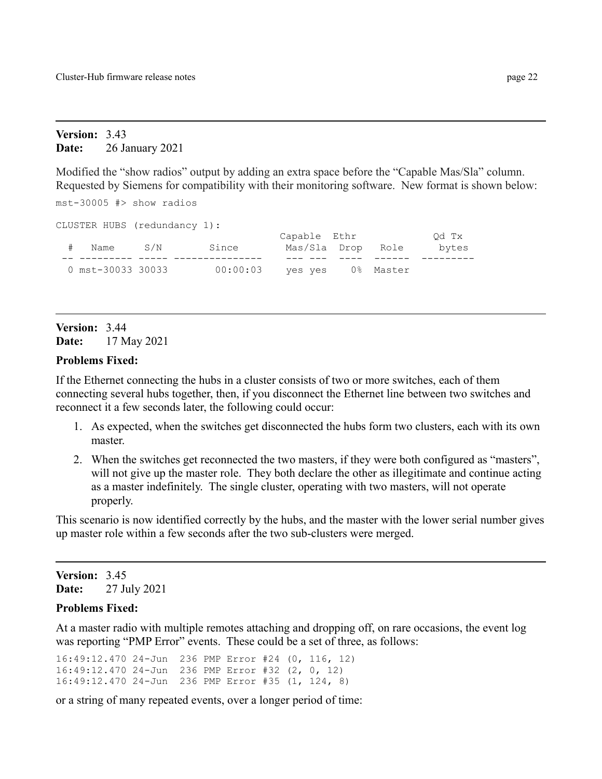#### **Version:** 3.43 **Date:** 26 January 2021

Modified the "show radios" output by adding an extra space before the "Capable Mas/Sla" column. Requested by Siemens for compatibility with their monitoring software. New format is shown below:

mst-30005 #> show radios

| CLUSTER HUBS (redundancy 1): |     |          |              |           |       |
|------------------------------|-----|----------|--------------|-----------|-------|
|                              |     |          | Capable Ethr |           | Od Tx |
| Name                         | S/N | Since    | Mas/Sla Drop | Role      | bytes |
|                              |     |          |              |           |       |
| 0 mst-30033 30033            |     | 00:00:03 | ves ves      | 0% Master |       |

# **Version:** 3.44 **Date:** 17 May 2021

#### **Problems Fixed:**

If the Ethernet connecting the hubs in a cluster consists of two or more switches, each of them connecting several hubs together, then, if you disconnect the Ethernet line between two switches and reconnect it a few seconds later, the following could occur:

- 1. As expected, when the switches get disconnected the hubs form two clusters, each with its own master.
- 2. When the switches get reconnected the two masters, if they were both configured as "masters", will not give up the master role. They both declare the other as illegitimate and continue acting as a master indefinitely. The single cluster, operating with two masters, will not operate properly.

This scenario is now identified correctly by the hubs, and the master with the lower serial number gives up master role within a few seconds after the two sub-clusters were merged.

#### **Version:** 3.45 **Date:** 27 July 2021

## **Problems Fixed:**

At a master radio with multiple remotes attaching and dropping off, on rare occasions, the event log was reporting "PMP Error" events. These could be a set of three, as follows:

16:49:12.470 24-Jun 236 PMP Error #24 (0, 116, 12) 16:49:12.470 24-Jun 236 PMP Error #32 (2, 0, 12) 16:49:12.470 24-Jun 236 PMP Error #35 (1, 124, 8)

or a string of many repeated events, over a longer period of time: